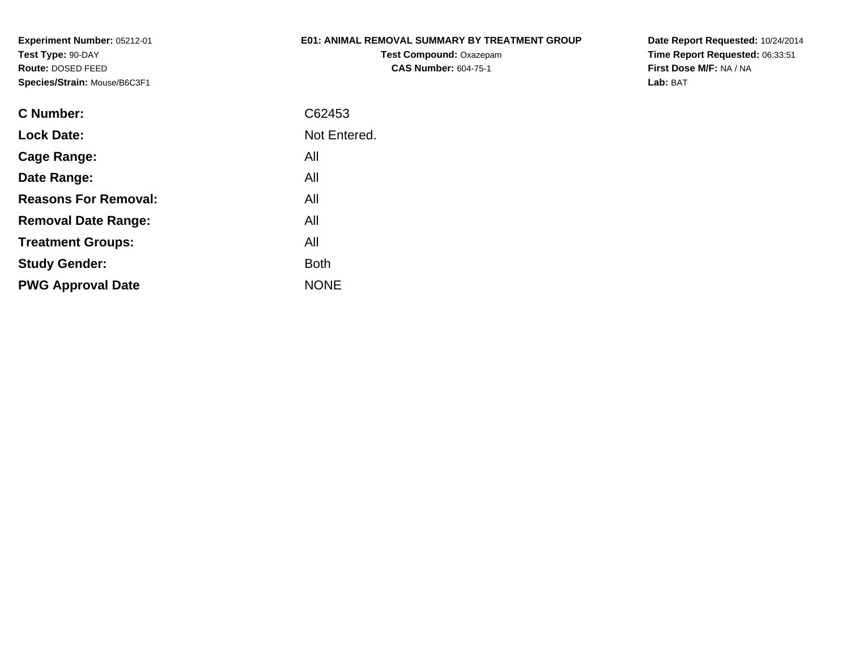## **E01: ANIMAL REMOVAL SUMMARY BY TREATMENT GROUP**

**Test Compound:** Oxazepam**CAS Number:** 604-75-1

| C Number:                   | C62453       |
|-----------------------------|--------------|
| <b>Lock Date:</b>           | Not Entered. |
| Cage Range:                 | All          |
| Date Range:                 | All          |
| <b>Reasons For Removal:</b> | All          |
| <b>Removal Date Range:</b>  | All          |
| <b>Treatment Groups:</b>    | All          |
| <b>Study Gender:</b>        | <b>Both</b>  |
| <b>PWG Approval Date</b>    | <b>NONE</b>  |
|                             |              |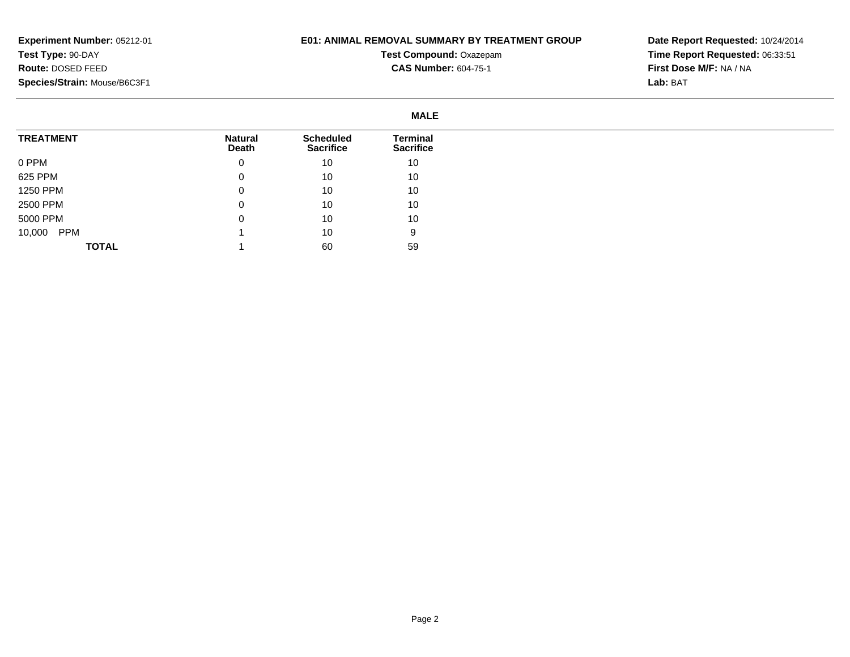## **E01: ANIMAL REMOVAL SUMMARY BY TREATMENT GROUP**

**Test Compound:** Oxazepam**CAS Number:** 604-75-1

|                      | <b>MALE</b>             |                                      |                                     |
|----------------------|-------------------------|--------------------------------------|-------------------------------------|
| <b>TREATMENT</b>     | <b>Natural</b><br>Death | <b>Scheduled</b><br><b>Sacrifice</b> | <b>Terminal</b><br><b>Sacrifice</b> |
| 0 PPM                | 0                       | 10                                   | 10                                  |
| 625 PPM              | 0                       | 10                                   | 10                                  |
| 1250 PPM             | 0                       | 10                                   | 10                                  |
| 2500 PPM             | 0                       | 10                                   | 10                                  |
| 5000 PPM             | 0                       | 10                                   | 10                                  |
| 10,000<br><b>PPM</b> |                         | 10                                   | 9                                   |
| <b>TOTAL</b>         |                         | 60                                   | 59                                  |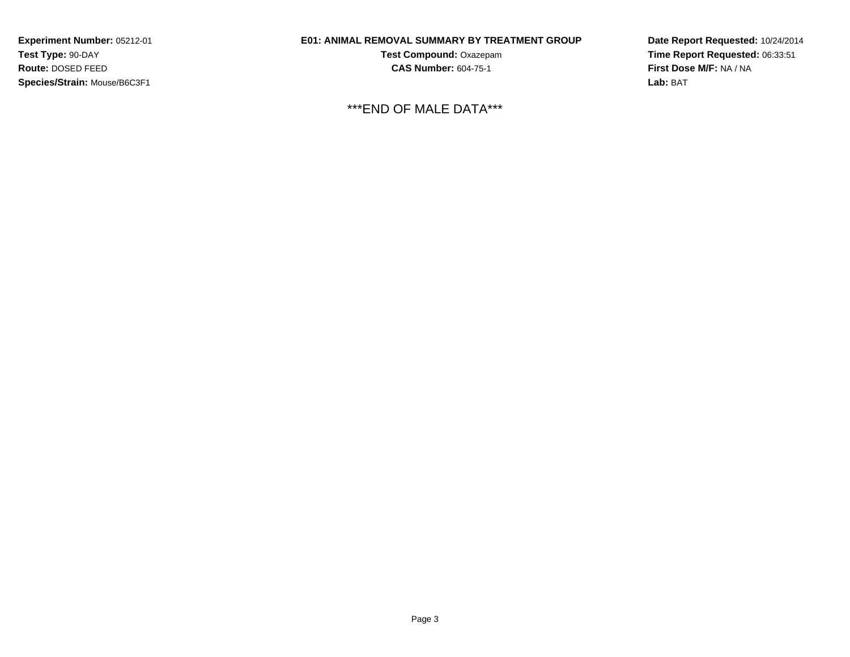## **E01: ANIMAL REMOVAL SUMMARY BY TREATMENT GROUP**

**Test Compound:** Oxazepam**CAS Number:** 604-75-1

\*\*\*END OF MALE DATA\*\*\*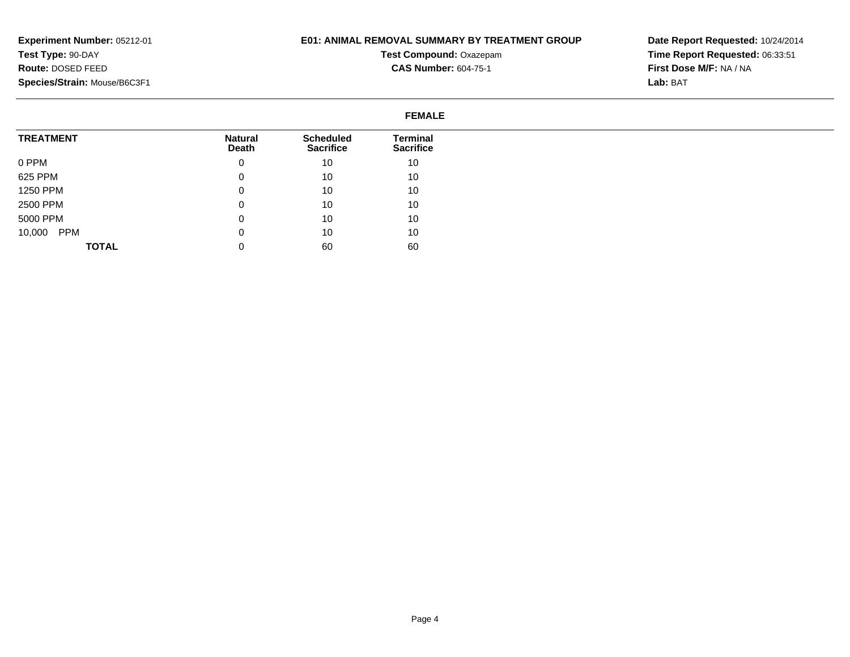## **E01: ANIMAL REMOVAL SUMMARY BY TREATMENT GROUP**

**Test Compound:** Oxazepam**CAS Number:** 604-75-1

|                  | <b>FEMALE</b>           |                                      |                                     |
|------------------|-------------------------|--------------------------------------|-------------------------------------|
| <b>TREATMENT</b> | <b>Natural</b><br>Death | <b>Scheduled</b><br><b>Sacrifice</b> | <b>Terminal</b><br><b>Sacrifice</b> |
| 0 PPM            | 0                       | 10                                   | 10                                  |
| 625 PPM          | 0                       | 10                                   | 10                                  |
| 1250 PPM         | 0                       | 10                                   | 10                                  |
| 2500 PPM         | 0                       | 10                                   | 10                                  |
| 5000 PPM         | 0                       | 10                                   | 10                                  |
| 10,000 PPM       | 0                       | 10                                   | 10                                  |
| <b>TOTAL</b>     | 0                       | 60                                   | 60                                  |